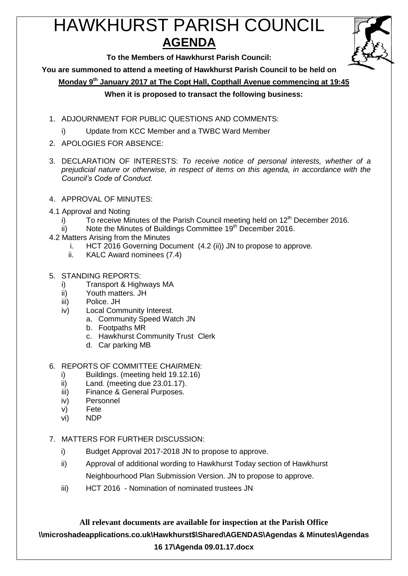# HAWKHURST PARISH COUNCIL **AGENDA**



**To the Members of Hawkhurst Parish Council:**

**You are summoned to attend a meeting of Hawkhurst Parish Council to be held on**

**Monday 9th January 2017 at The Copt Hall, Copthall Avenue commencing at 19:45**

## **When it is proposed to transact the following business:**

- 1. ADJOURNMENT FOR PUBLIC QUESTIONS AND COMMENTS:
	- i) Update from KCC Member and a TWBC Ward Member
- 2. APOLOGIES FOR ABSENCE:
- 3. DECLARATION OF INTERESTS: *To receive notice of personal interests, whether of a prejudicial nature or otherwise, in respect of items on this agenda, in accordance with the Council's Code of Conduct.*
- 4. APPROVAL OF MINUTES:
- 4.1 Approval and Noting
	- i) To receive Minutes of the Parish Council meeting held on  $12<sup>th</sup>$  December 2016.
	- ii) Note the Minutes of Buildings Committee 19<sup>th</sup> December 2016.
- 4.2 Matters Arising from the Minutes
	- i. HCT 2016 Governing Document (4.2 (ii)) JN to propose to approve.
	- ii. KALC Award nominees (7.4)
- 5. STANDING REPORTS:
	- i) Transport & Highways MA
	- ii) Youth matters. JH
	- iii) Police. JH
	- iv) Local Community Interest.
		- a. Community Speed Watch JN
			- b. Footpaths MR
			- c. Hawkhurst Community Trust Clerk
			- d. Car parking MB

#### 6. REPORTS OF COMMITTEE CHAIRMEN:

- i) Buildings. (meeting held 19.12.16)
- ii) Land. (meeting due 23.01.17).
- iii) Finance & General Purposes.
- iv) Personnel
- v) Fete
- vi) NDP
- 7. MATTERS FOR FURTHER DISCUSSION:
	- i) Budget Approval 2017-2018 JN to propose to approve.
	- ii) Approval of additional wording to Hawkhurst Today section of Hawkhurst Neighbourhood Plan Submission Version. JN to propose to approve.
	- iii) HCT 2016 Nomination of nominated trustees JN

**All relevant documents are available for inspection at the Parish Office \\microshadeapplications.co.uk\Hawkhurst\$\Shared\AGENDAS\Agendas & Minutes\Agendas 16 17\Agenda 09.01.17.docx**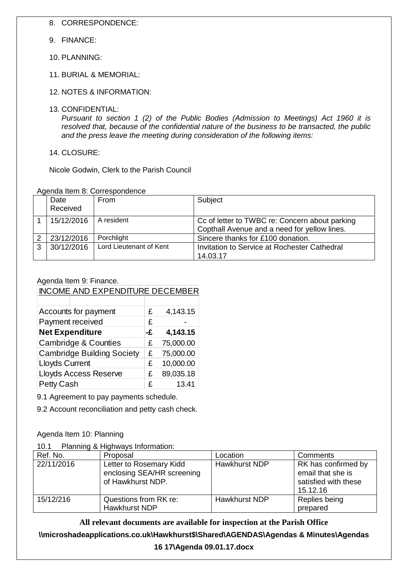- 8. CORRESPONDENCE:
- 9. FINANCE:
- 10. PLANNING:
- 11. BURIAL & MEMORIAL:
- 12. NOTES & INFORMATION:
- 13. CONFIDENTIAL:

*Pursuant to section 1 (2) of the Public Bodies (Admission to Meetings) Act 1960 it is resolved that, because of the confidential nature of the business to be transacted, the public and the press leave the meeting during consideration of the following items:*

14. CLOSURE:

Nicole Godwin, Clerk to the Parish Council

Agenda Item 8: Correspondence

|   | Date<br>Received | <b>From</b>             | Subject                                                                                        |
|---|------------------|-------------------------|------------------------------------------------------------------------------------------------|
|   | 15/12/2016       | A resident              | Cc of letter to TWBC re: Concern about parking<br>Copthall Avenue and a need for yellow lines. |
| 2 | 23/12/2016       | Porchlight              | Sincere thanks for £100 donation.                                                              |
| 3 | 30/12/2016       | Lord Lieutenant of Kent | Invitation to Service at Rochester Cathedral                                                   |
|   |                  |                         | 14.03.17                                                                                       |

#### Agenda Item 9: Finance.

| <b>INCOME AND EXPENDITURE DECEMBER</b> |    |           |
|----------------------------------------|----|-----------|
|                                        |    |           |
| Accounts for payment                   | £  | 4,143.15  |
| Payment received                       | £  |           |
| <b>Net Expenditure</b>                 | -£ | 4,143.15  |
| <b>Cambridge &amp; Counties</b>        | £  | 75,000.00 |
| <b>Cambridge Building Society</b>      |    | 75,000.00 |
| <b>Lloyds Current</b>                  |    | 10,000.00 |
| <b>Lloyds Access Reserve</b>           | £  | 89,035.18 |
| Petty Cash                             | £  | 13.41     |

9.1 Agreement to pay payments schedule.

9.2 Account reconciliation and petty cash check.

Agenda Item 10: Planning

10.1 Planning & Highways Information:

| Ref. No.   | Proposal                                                                   | Location      | Comments                                                                     |
|------------|----------------------------------------------------------------------------|---------------|------------------------------------------------------------------------------|
| 22/11/2016 | Letter to Rosemary Kidd<br>enclosing SEA/HR screening<br>of Hawkhurst NDP. | Hawkhurst NDP | RK has confirmed by<br>email that she is<br>satisfied with these<br>15.12.16 |
| 15/12/216  | Questions from RK re:<br>Hawkhurst NDP                                     | Hawkhurst NDP | Replies being<br>prepared                                                    |

## **All relevant documents are available for inspection at the Parish Office**

## **\\microshadeapplications.co.uk\Hawkhurst\$\Shared\AGENDAS\Agendas & Minutes\Agendas**

#### **16 17\Agenda 09.01.17.docx**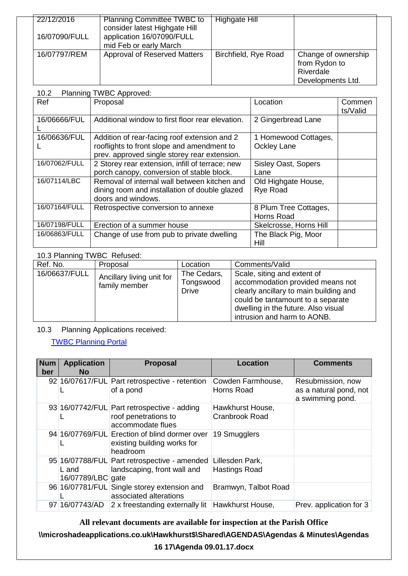| 22/12/2016    | <b>Planning Committee TWBC to</b>                                                    | Highgate Hill        |                                                                        |
|---------------|--------------------------------------------------------------------------------------|----------------------|------------------------------------------------------------------------|
| 16/07090/FULL | consider latest Highgate Hill<br>application 16/07090/FULL<br>mid Feb or early March |                      |                                                                        |
| 16/07797/REM  | Approval of Reserved Matters                                                         | Birchfield, Rye Road | Change of ownership<br>from Rydon to<br>Riverdale<br>Developments Ltd. |

#### 10.2 Planning TWBC Approved:

| Ref           | : 1.001, 1.001, 0.001<br>Proposal                                                                                                          | Location                                   | Commen<br>ts/Valid |
|---------------|--------------------------------------------------------------------------------------------------------------------------------------------|--------------------------------------------|--------------------|
| 16/06666/FUL  | Additional window to first floor rear elevation.                                                                                           | 2 Gingerbread Lane                         |                    |
| 16/06636/FUL  | Addition of rear-facing roof extension and 2<br>rooflights to front slope and amendment to<br>prev. approved single storey rear extension. | 1 Homewood Cottages,<br><b>Ockley Lane</b> |                    |
| 16/07062/FULL | 2 Storey rear extension, infill of terrace; new<br>porch canopy, conversion of stable block.                                               | Sisley Oast, Sopers<br>Lane                |                    |
| 16/07114/LBC  | Removal of internal wall between kitchen and<br>dining room and installation of double glazed<br>doors and windows.                        | Old Highgate House,<br>Rye Road            |                    |
| 16/07164/FULL | Retrospective conversion to annexe                                                                                                         | 8 Plum Tree Cottages,<br>Horns Road        |                    |
| 16/07198/FULL | Erection of a summer house                                                                                                                 | Skelcrosse, Horns Hill                     |                    |
| 16/06863/FULL | Change of use from pub to private dwelling                                                                                                 | The Black Pig, Moor<br><b>Hill</b>         |                    |

## 10.3 Planning TWBC Refused:

| Ref. No.      | Proposal                                   | Location                          | Comments/Valid                                                                                                                                                                                                       |
|---------------|--------------------------------------------|-----------------------------------|----------------------------------------------------------------------------------------------------------------------------------------------------------------------------------------------------------------------|
| 16/06637/FULL | Ancillary living unit for<br>family member | The Cedars,<br>Tongswood<br>Drive | Scale, siting and extent of<br>accommodation provided means not<br>clearly ancillary to main building and<br>could be tantamount to a separate<br>dwelling in the future. Also visual<br>intrusion and harm to AONB. |

## 10.3 Planning Applications received:

# [TWBC Planning Portal](http://www.tunbridgewells.gov.uk/residents/planning/planning-application-search)

| <b>Num</b><br>ber | <b>Application</b><br>No.  | <b>Proposal</b>                                                                          | Location                                  | <b>Comments</b>                                                 |
|-------------------|----------------------------|------------------------------------------------------------------------------------------|-------------------------------------------|-----------------------------------------------------------------|
|                   |                            | 92 16/07617/FUL Part retrospective - retention<br>of a pond                              | Cowden Farmhouse,<br>Horns Road           | Resubmission, now<br>as a natural pond, not<br>a swimming pond. |
|                   |                            | 93 16/07742/FUL Part retrospective - adding<br>roof penetrations to<br>accommodate flues | Hawkhurst House,<br><b>Cranbrook Road</b> |                                                                 |
|                   |                            | 94 16/07769/FUL Erection of blind dormer over<br>existing building works for<br>headroom | 19 Smugglers                              |                                                                 |
|                   | L and<br>16/07789/LBC gate | 95 16/07788/FUL Part retrospective - amended<br>landscaping, front wall and              | Lillesden Park,<br><b>Hastings Road</b>   |                                                                 |
|                   |                            | 96 16/07781/FUL Single storey extension and<br>associated alterations                    | Bramwyn, Talbot Road                      |                                                                 |
|                   | 97 16/07743/AD             | 2 x freestanding externally lit                                                          | Hawkhurst House,                          | Prev. application for 3                                         |

# **All relevant documents are available for inspection at the Parish Office**

**\\microshadeapplications.co.uk\Hawkhurst\$\Shared\AGENDAS\Agendas & Minutes\Agendas** 

#### **16 17\Agenda 09.01.17.docx**